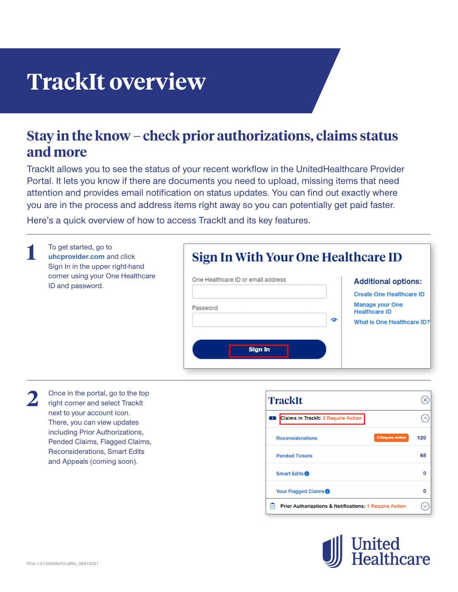## **TrackIt overview**

## **Stay in the know – check prior authorizations, claims status and more**

TrackIt allows you to see the status of your recent workflow in the [UnitedHealthcare Provider](https://www.uhcprovider.com/portal)  [Portal.](https://www.uhcprovider.com/portal) It lets you know if there are documents you need to upload, missing items that need attention and provides email notification on status updates. You can find out exactly where you are in the process and address items right away so you can potentially get paid faster.

Here's a quick overview of how to access TrackIt and its key features.

| To get started, go to<br>uhcprovider.com and click<br>Sign In in the upper right-hand<br>corner using your One Healthcare<br>ID and password. | Sign In With Your One Healthcare ID                       |                                                                                                                                                    |
|-----------------------------------------------------------------------------------------------------------------------------------------------|-----------------------------------------------------------|----------------------------------------------------------------------------------------------------------------------------------------------------|
|                                                                                                                                               | One Healthcare ID or email address<br>Password<br>Sign in | <b>Additional options:</b><br><b>Create One Healthcare ID</b><br><b>Manage your One</b><br><b>Healthcare ID</b><br>ൟ<br>What Is One Healthcare ID? |

Once in the portal, go to the top right corner and select TrackIt next to your account icon. There, you can view updates including Prior Authorizations, Pended Claims, Flagged Claims, Reconsiderations, Smart Edits and Appeals (coming soon). **2**